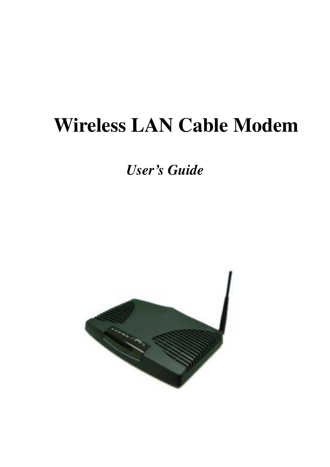# **Wireless LAN Cable Modem**

*User's Guide* 

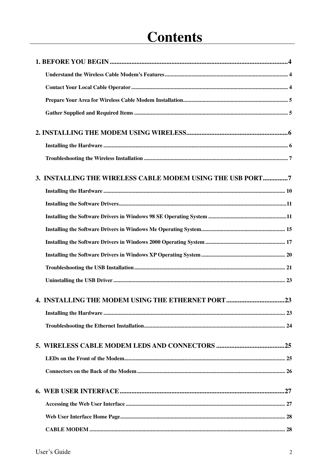## **Contents**

| 3. INSTALLING THE WIRELESS CABLE MODEM USING THE USB PORT7 |  |
|------------------------------------------------------------|--|
|                                                            |  |
|                                                            |  |
|                                                            |  |
|                                                            |  |
|                                                            |  |
|                                                            |  |
|                                                            |  |
|                                                            |  |
|                                                            |  |
|                                                            |  |
|                                                            |  |
|                                                            |  |
|                                                            |  |
|                                                            |  |
|                                                            |  |
|                                                            |  |
|                                                            |  |
|                                                            |  |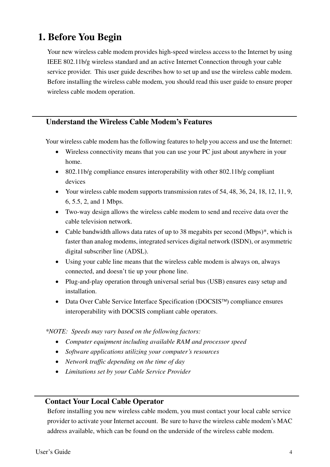### **1. Before You Begin**

Your new wireless cable modem provides high-speed wireless access to the Internet by using IEEE 802.11b/g wireless standard and an active Internet Connection through your cable service provider. This user guide describes how to set up and use the wireless cable modem. Before installing the wireless cable modem, you should read this user guide to ensure proper wireless cable modem operation.

### **Understand the Wireless Cable Modem's Features**

Your wireless cable modem has the following features to help you access and use the Internet:

- Wireless connectivity means that you can use your PC just about anywhere in your home.
- 802.11b/g compliance ensures interoperability with other 802.11b/g compliant devices
- Your wireless cable modem supports transmission rates of 54, 48, 36, 24, 18, 12, 11, 9, 6, 5.5, 2, and 1 Mbps.
- Two-way design allows the wireless cable modem to send and receive data over the cable television network.
- Cable bandwidth allows data rates of up to 38 megabits per second (Mbps)<sup>\*</sup>, which is faster than analog modems, integrated services digital network (ISDN), or asymmetric digital subscriber line (ADSL).
- Using your cable line means that the wireless cable modem is always on, always connected, and doesn't tie up your phone line.
- Plug-and-play operation through universal serial bus (USB) ensures easy setup and installation.
- Data Over Cable Service Interface Specification ( $\text{DOCSIS}^{\text{TM}}$ ) compliance ensures interoperability with DOCSIS compliant cable operators.

*\*NOTE: Speeds may vary based on the following factors:* 

- *Computer equipment including available RAM and processor speed*
- *Software applications utilizing your computer's resources*
- *Network traffic depending on the time of day*
- *Limitations set by your Cable Service Provider*

### **Contact Your Local Cable Operator**

Before installing you new wireless cable modem, you must contact your local cable service provider to activate your Internet account. Be sure to have the wireless cable modem's MAC address available, which can be found on the underside of the wireless cable modem.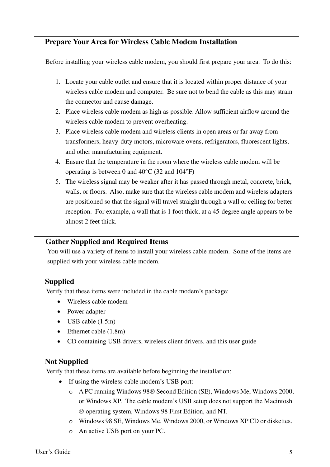### **Prepare Your Area for Wireless Cable Modem Installation**

Before installing your wireless cable modem, you should first prepare your area. To do this:

- 1. Locate your cable outlet and ensure that it is located within proper distance of your wireless cable modem and computer. Be sure not to bend the cable as this may strain the connector and cause damage.
- 2. Place wireless cable modem as high as possible. Allow sufficient airflow around the wireless cable modem to prevent overheating.
- 3. Place wireless cable modem and wireless clients in open areas or far away from transformers, heavy-duty motors, microware ovens, refrigerators, fluorescent lights, and other manufacturing equipment.
- 4. Ensure that the temperature in the room where the wireless cable modem will be operating is between 0 and 40°C (32 and 104°F)
- 5. The wireless signal may be weaker after it has passed through metal, concrete, brick, walls, or floors. Also, make sure that the wireless cable modem and wireless adapters are positioned so that the signal will travel straight through a wall or ceiling for better reception. For example, a wall that is 1 foot thick, at a 45-degree angle appears to be almost 2 feet thick.

### **Gather Supplied and Required Items**

You will use a variety of items to install your wireless cable modem. Some of the items are supplied with your wireless cable modem.

### **Supplied**

Verify that these items were included in the cable modem's package:

- Wireless cable modem
- Power adapter
- USB cable (1.5m)
- Ethernet cable (1.8m)
- CD containing USB drivers, wireless client drivers, and this user guide

### **Not Supplied**

Verify that these items are available before beginning the installation:

- If using the wireless cable modem's USB port:
	- o A PC running Windows 98<sup>®</sup> Second Edition (SE), Windows Me, Windows 2000, or Windows XP. The cable modem's USB setup does not support the Macintosh operating system, Windows 98 First Edition, and NT.
	- o Windows 98 SE, Windows Me, Windows 2000, or Windows XP CD or diskettes.
	- o An active USB port on your PC.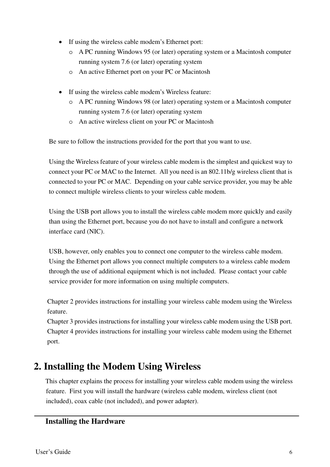- If using the wireless cable modem's Ethernet port:
	- o A PC running Windows 95 (or later) operating system or a Macintosh computer running system 7.6 (or later) operating system
	- o An active Ethernet port on your PC or Macintosh
- If using the wireless cable modem's Wireless feature:
	- o A PC running Windows 98 (or later) operating system or a Macintosh computer running system 7.6 (or later) operating system
	- o An active wireless client on your PC or Macintosh

Be sure to follow the instructions provided for the port that you want to use.

Using the Wireless feature of your wireless cable modem is the simplest and quickest way to connect your PC or MAC to the Internet. All you need is an 802.11b/g wireless client that is connected to your PC or MAC. Depending on your cable service provider, you may be able to connect multiple wireless clients to your wireless cable modem.

Using the USB port allows you to install the wireless cable modem more quickly and easily than using the Ethernet port, because you do not have to install and configure a network interface card (NIC).

USB, however, only enables you to connect one computer to the wireless cable modem. Using the Ethernet port allows you connect multiple computers to a wireless cable modem through the use of additional equipment which is not included. Please contact your cable service provider for more information on using multiple computers.

Chapter 2 provides instructions for installing your wireless cable modem using the Wireless feature.

Chapter 3 provides instructions for installing your wireless cable modem using the USB port. Chapter 4 provides instructions for installing your wireless cable modem using the Ethernet port.

### **2. Installing the Modem Using Wireless**

This chapter explains the process for installing your wireless cable modem using the wireless feature. First you will install the hardware (wireless cable modem, wireless client (not included), coax cable (not included), and power adapter).

### **Installing the Hardware**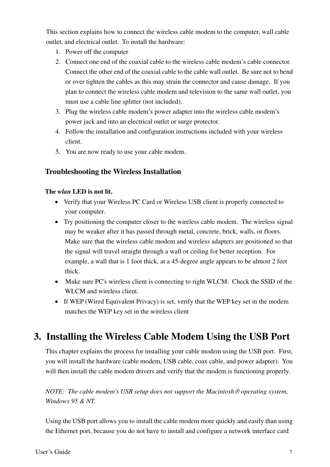This section explains how to connect the wireless cable modem to the computer, wall cable outlet, and electrical outlet. To install the hardware:

- 1. Power off the computer
- 2. Connect one end of the coaxial cable to the wireless cable modem's cable connector. Connect the other end of the coaxial cable to the cable wall outlet. Be sure not to bend or over tighten the cables as this may strain the connector and cause damage. If you plan to connect the wireless cable modem and television to the same wall outlet, you must use a cable line splitter (not included).
- 3. Plug the wireless cable modem's power adapter into the wireless cable modem's power jack and into an electrical outlet or surge protector.
- 4. Follow the installation and configuration instructions included with your wireless client.
- 5. You are now ready to use your cable modem.

### **Troubleshooting the Wireless Installation**

### **The** *wlan* **LED is not lit.**

- Verify that your Wireless PC Card or Wireless USB client is properly connected to your computer.
- Try positioning the computer closer to the wireless cable modem. The wireless signal may be weaker after it has passed through metal, concrete, brick, walls, or floors. Make sure that the wireless cable modem and wireless adapters are positioned so that the signal will travel straight through a wall or ceiling for better reception. For example, a wall that is 1 foot thick, at a 45-degree angle appears to be almost 2 feet thick.
- Make sure PC's wireless client is connecting to right WLCM. Check the SSID of the WLCM and wireless client.
- If WEP (Wired Equivalent Privacy) is set, verify that the WEP key set in the modem matches the WEP key set in the wireless client

### **3. Installing the Wireless Cable Modem Using the USB Port**

This chapter explains the process for installing your cable modem using the USB port. First, you will install the hardware (cable modem, USB cable, coax cable, and power adapter). You will then install the cable modem drivers and verify that the modem is functioning properly.

### *NOTE: The cable modem's USB setup does not support the Macintosh operating system, Windows 95 & NT.*

Using the USB port allows you to install the cable modem more quickly and easily than using the Ethernet port, because you do not have to install and configure a network interface card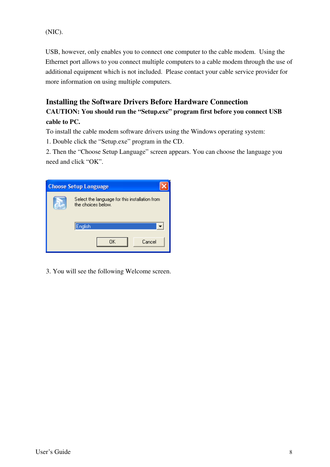(NIC).

USB, however, only enables you to connect one computer to the cable modem. Using the Ethernet port allows to you connect multiple computers to a cable modem through the use of additional equipment which is not included. Please contact your cable service provider for more information on using multiple computers.

### **Installing the Software Drivers Before Hardware Connection**

### **CAUTION: You should run the "Setup.exe" program first before you connect USB cable to PC.**

To install the cable modem software drivers using the Windows operating system:

1. Double click the "Setup.exe" program in the CD.

2. Then the "Choose Setup Language" screen appears. You can choose the language you need and click "OK".

| <b>Choose Setup Language</b>                                         |
|----------------------------------------------------------------------|
| Select the language for this installation from<br>the choices below. |
| English                                                              |
| OΚ<br>Cancel                                                         |

3. You will see the following Welcome screen.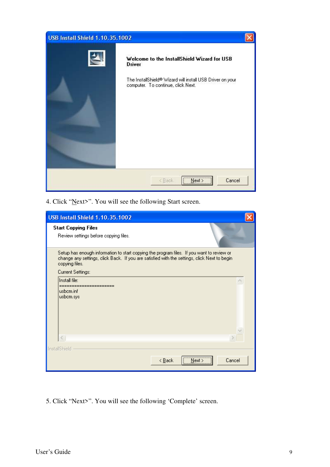| <b>USB Install Shield 1.10.35.1002</b> |                                                                                                                                                          |  |
|----------------------------------------|----------------------------------------------------------------------------------------------------------------------------------------------------------|--|
|                                        | Welcome to the InstallShield Wizard for USB<br>Driver<br>The InstallShield® Wizard will install USB Driver on your<br>computer. To continue, click Next. |  |
|                                        | Next<br>Cancel<br><back< td=""><td></td></back<>                                                                                                         |  |

4. Click "Next>". You will see the following Start screen.

| <b>USB Install Shield 1.10.35.1002</b>                                                                                                                                                                      |                              |        |
|-------------------------------------------------------------------------------------------------------------------------------------------------------------------------------------------------------------|------------------------------|--------|
| <b>Start Copying Files</b><br>Review settings before copying files.                                                                                                                                         |                              |        |
| Setup has enough information to start copying the program files. If you want to review or<br>change any settings, click Back. If you are satisfied with the settings, click Next to begin<br>copying files. |                              |        |
| Current Settings:                                                                                                                                                                                           |                              |        |
| Install file:                                                                                                                                                                                               |                              |        |
| -----------<br>usbcm.inf<br>usbom.sys                                                                                                                                                                       |                              |        |
| $\overline{\left\langle \right\rangle }$                                                                                                                                                                    |                              |        |
| InstallShield                                                                                                                                                                                               |                              |        |
|                                                                                                                                                                                                             | <br>< <u>B</u> ack<br>Next : | Cancel |

5. Click "Next>". You will see the following 'Complete' screen.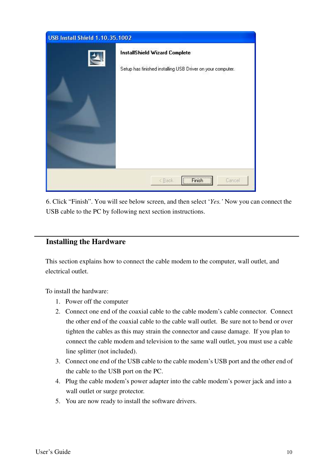| <b>USB Install Shield 1.10.35.1002</b> |                                                                                                              |  |
|----------------------------------------|--------------------------------------------------------------------------------------------------------------|--|
| $\left\langle \mathbf{2}\right\rangle$ | <b>InstallShield Wizard Complete</b><br>Setup has finished installing USB Driver on your computer.           |  |
|                                        | <b>Finish</b><br><back<br>Cancel<br/><math>\sqrt{\frac{F_{\text{INIST}}}{F_{\text{INIST}}}}</math></back<br> |  |

6. Click "Finish". You will see below screen, and then select '*Yes.'* Now you can connect the USB cable to the PC by following next section instructions.

### **Installing the Hardware**

This section explains how to connect the cable modem to the computer, wall outlet, and electrical outlet.

To install the hardware:

- 1. Power off the computer
- 2. Connect one end of the coaxial cable to the cable modem's cable connector. Connect the other end of the coaxial cable to the cable wall outlet. Be sure not to bend or over tighten the cables as this may strain the connector and cause damage. If you plan to connect the cable modem and television to the same wall outlet, you must use a cable line splitter (not included).
- 3. Connect one end of the USB cable to the cable modem's USB port and the other end of the cable to the USB port on the PC.
- 4. Plug the cable modem's power adapter into the cable modem's power jack and into a wall outlet or surge protector.
- 5. You are now ready to install the software drivers.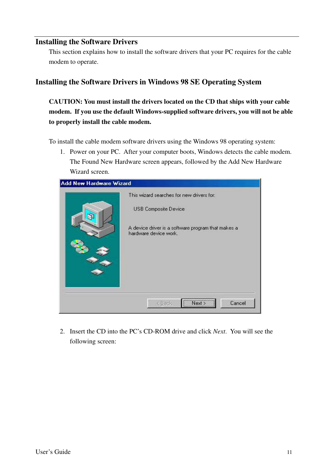### **Installing the Software Drivers**

This section explains how to install the software drivers that your PC requires for the cable modem to operate.

### **Installing the Software Drivers in Windows 98 SE Operating System**

**CAUTION: You must install the drivers located on the CD that ships with your cable modem. If you use the default Windows-supplied software drivers, you will not be able to properly install the cable modem.** 

To install the cable modem software drivers using the Windows 98 operating system:

1. Power on your PC. After your computer boots, Windows detects the cable modem. The Found New Hardware screen appears, followed by the Add New Hardware Wizard screen.

| <b>Add New Hardware Wizard</b> | This wizard searches for new drivers for:                                   |
|--------------------------------|-----------------------------------------------------------------------------|
|                                | USB Composite Device                                                        |
|                                | A device driver is a software program that makes a<br>hardware device work. |
|                                |                                                                             |
|                                |                                                                             |
|                                |                                                                             |
|                                | Next<br>Cancel<br>< Back                                                    |

2. Insert the CD into the PC's CD-ROM drive and click *Next*. You will see the following screen: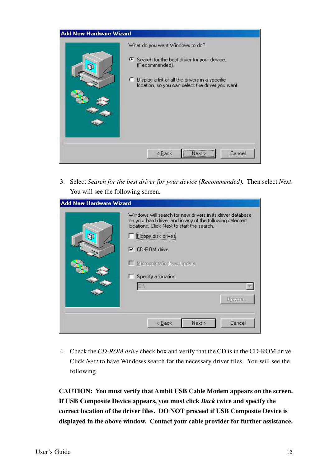| What do you want Windows to do?<br>6 Search for the best driver for your device.<br>(Recommended).<br>C Display a list of all the drivers in a specific<br>location, so you can select the driver you want. |
|-------------------------------------------------------------------------------------------------------------------------------------------------------------------------------------------------------------|
| Cancel<br><back<br>Next &gt;</back<br>                                                                                                                                                                      |

3. Select *Search for the best driver for your device (Recommended).* Then select *Next*. You will see the following screen.

| locations. Click Next to start the search.<br>F Eloppy disk drives<br><b>▽</b> CD-ROM drive<br>Microsoft Windows Update<br>Specify a location: |
|------------------------------------------------------------------------------------------------------------------------------------------------|
| Browse.                                                                                                                                        |

4. Check the *CD-ROM drive* check box and verify that the CD is in the CD-ROM drive. Click *Next* to have Windows search for the necessary driver files. You will see the following.

**CAUTION: You must verify that Ambit USB Cable Modem appears on the screen. If USB Composite Device appears, you must click** *Back* **twice and specify the correct location of the driver files. DO NOT proceed if USB Composite Device is displayed in the above window. Contact your cable provider for further assistance.**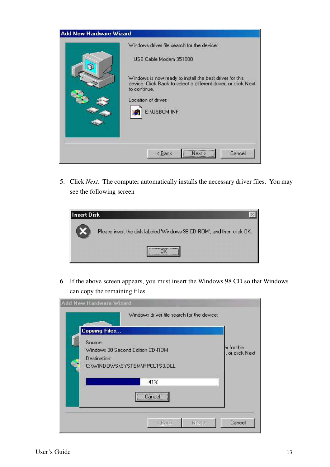|    | Windows driver file search for the device:                                                                                                 |
|----|--------------------------------------------------------------------------------------------------------------------------------------------|
| a. | USB Cable Modem 351000                                                                                                                     |
|    | Windows is now ready to install the best driver for this<br>device. Click Back to select a different driver, or click Next<br>to continue. |
|    | Location of driver:                                                                                                                        |
|    | E:\USBCM.INF                                                                                                                               |
|    |                                                                                                                                            |
|    |                                                                                                                                            |
|    | <br>Cancel<br>Next ><br><back< td=""></back<>                                                                                              |

5. Click *Next*. The computer automatically installs the necessary driver files. You may see the following screen



6. If the above screen appears, you must insert the Windows 98 CD so that Windows can copy the remaining files.

| <b>Add New Hardware Wizard</b>                                                               |                                |
|----------------------------------------------------------------------------------------------|--------------------------------|
| Windows driver file search for the device:<br><b>Copying Files</b>                           |                                |
| Source:<br>Windows 98 Second Edition CD-ROM<br>Destination:<br>C:\WINDOWS\SYSTEM\RPCLTS3.DLL | er for this<br>, or click Next |
| 41%<br>Cancel                                                                                |                                |
| Next><br><back< td=""><td>Cancel</td></back<>                                                | Cancel                         |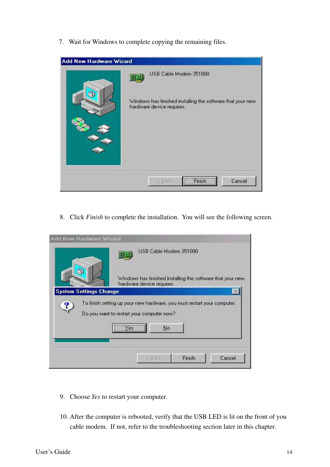7. Wait for Windows to complete copying the remaining files.

| <b>Add New Hardware Wizard</b> |                                                                                                                    |
|--------------------------------|--------------------------------------------------------------------------------------------------------------------|
| a                              | USB Cable Modem 351000<br>Windows has finished installing the software that your new.<br>hardware device requires. |
|                                | Finish<br>Cancel<br>< Back                                                                                         |

8. Click *Finish* to complete the installation. You will see the following screen.

| Add New Hardware Wizard       |                                                                                                                      |
|-------------------------------|----------------------------------------------------------------------------------------------------------------------|
|                               | USB Cable Modem 351000<br>Windows has finished installing the software that your new                                 |
| <b>System Settings Change</b> | hardware device requires.                                                                                            |
|                               |                                                                                                                      |
|                               | To finish setting up your new hardware, you must restart your computer.<br>Do you want to restart your computer now? |
|                               | <b>TYPES</b><br>No                                                                                                   |
|                               |                                                                                                                      |
|                               | Finish<br>Cancel<br><b>CBack</b>                                                                                     |

- 9. Choose *Yes* to restart your computer.
- 10. After the computer is rebooted, verify that the USB LED is lit on the front of you cable modem. If not, refer to the troubleshooting section later in this chapter.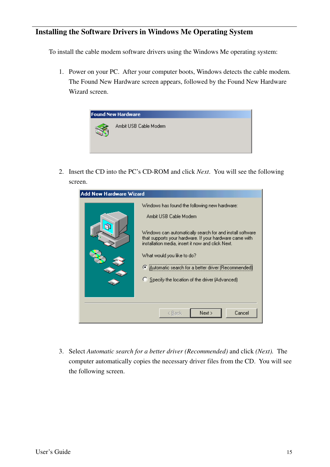### **Installing the Software Drivers in Windows Me Operating System**

To install the cable modem software drivers using the Windows Me operating system:

1. Power on your PC. After your computer boots, Windows detects the cable modem. The Found New Hardware screen appears, followed by the Found New Hardware Wizard screen.



2. Insert the CD into the PC's CD-ROM and click *Next*. You will see the following screen.

| <b>Add New Hardware Wizard</b> |                                                                                                                                                                                                                                                                                                                                                                                                |  |  |  |
|--------------------------------|------------------------------------------------------------------------------------------------------------------------------------------------------------------------------------------------------------------------------------------------------------------------------------------------------------------------------------------------------------------------------------------------|--|--|--|
|                                | Windows has found the following new hardware:<br>Ambit USB Cable Modem<br>Windows can automatically search for and install software<br>that supports your hardware. If your hardware came with<br>installation media, insert it now and click Next.<br>What would you like to do?<br>C Automatic search for a better driver (Recomme<br><b>C</b> Specify the location of the driver (Advanced) |  |  |  |
| Cancel<br>Next<br>< Back       |                                                                                                                                                                                                                                                                                                                                                                                                |  |  |  |

3. Select *Automatic search for a better driver (Recommended)* and click *(Next).* The computer automatically copies the necessary driver files from the CD. You will see the following screen.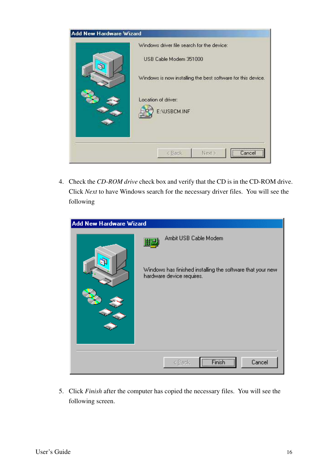| <b>Add New Hardware Wizard</b> |                                                              |
|--------------------------------|--------------------------------------------------------------|
|                                | Windows driver file search for the device:                   |
| a.                             | USB Cable Modem 351000                                       |
|                                | Windows is now installing the best software for this device. |
|                                | Location of driver:                                          |
|                                |                                                              |
|                                | E:\USBCM.INF                                                 |
|                                |                                                              |
|                                |                                                              |
|                                |                                                              |
|                                | Next ><br>< Back<br>Cance                                    |

4. Check the *CD-ROM drive* check box and verify that the CD is in the CD-ROM drive. Click *Next* to have Windows search for the necessary driver files. You will see the following

| <b>Add New Hardware Wizard</b> |                                                                                         |
|--------------------------------|-----------------------------------------------------------------------------------------|
|                                | Ambit USB Cable Modem<br>開學                                                             |
| a                              | Windows has finished installing the software that your new<br>hardware device requires. |
|                                |                                                                                         |
|                                |                                                                                         |
|                                |                                                                                         |
|                                | Cancel<br>< <u>B</u> ack                                                                |

5. Click *Finish* after the computer has copied the necessary files. You will see the following screen.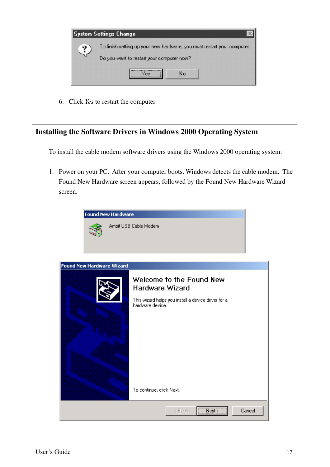

6. Click *Yes* to restart the computer

### **Installing the Software Drivers in Windows 2000 Operating System**

To install the cable modem software drivers using the Windows 2000 operating system:

1. Power on your PC. After your computer boots, Windows detects the cable modem. The Found New Hardware screen appears, followed by the Found New Hardware Wizard screen.

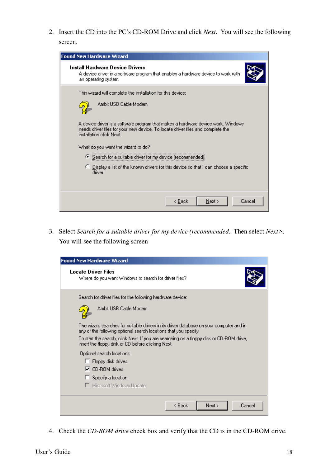2. Insert the CD into the PC's CD-ROM Drive and click *Next*. You will see the following screen.

| <b>Found New Hardware Wizard</b>                                                                                                                                                                |
|-------------------------------------------------------------------------------------------------------------------------------------------------------------------------------------------------|
| Install Hardware Device Drivers<br>A device driver is a software program that enables a hardware device to work with<br>an operating system.                                                    |
| This wizard will complete the installation for this device:                                                                                                                                     |
| Ambit USB Cable Modem                                                                                                                                                                           |
| A device driver is a software program that makes a hardware device work. Windows<br>needs driver files for your new device. To locate driver files and complete the<br>installation click Next. |
| What do you want the wizard to do?                                                                                                                                                              |
| C Search for a suitable driver for my device (recommended)                                                                                                                                      |
| C Display a list of the known drivers for this device so that I can choose a specific<br>driver                                                                                                 |
|                                                                                                                                                                                                 |
| Cancel<br>< <u>B</u> ack<br>$N$ ext >                                                                                                                                                           |

3. Select *Search for a suitable driver for my device (recommended*. Then select *Next>*. You will see the following screen

| <b>Found New Hardware Wizard</b>                                                                                                                            |                          |
|-------------------------------------------------------------------------------------------------------------------------------------------------------------|--------------------------|
| <b>Locate Driver Files</b><br>Where do you want Windows to search for driver files?                                                                         |                          |
| Search for driver files for the following hardware device:                                                                                                  |                          |
| Ambit USB Cable Modem                                                                                                                                       |                          |
| The wizard searches for suitable drivers in its driver database on your computer and in<br>any of the following optional search locations that you specify. |                          |
| To start the search, click Next. If you are searching on a floppy disk or CD-ROM drive, I<br>insert the floppy disk or CD before clicking Next.             |                          |
| Optional search locations:                                                                                                                                  |                          |
| Floppy disk drives                                                                                                                                          |                          |
| $\nabla$ CD-ROM drives                                                                                                                                      |                          |
| Specify a location                                                                                                                                          |                          |
| □ Microsoft Windows Update                                                                                                                                  |                          |
|                                                                                                                                                             | < Back<br>Cancel<br>Next |

4. Check the *CD-ROM drive* check box and verify that the CD is in the CD-ROM drive.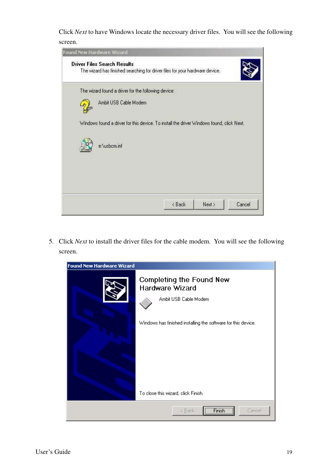Click *Next* to have Windows locate the necessary driver files. You will see the following screen.

| Found New Hardware Wizard<br><b>Driver Files Search Results</b> |                                                     |                                                                                          |        |
|-----------------------------------------------------------------|-----------------------------------------------------|------------------------------------------------------------------------------------------|--------|
|                                                                 |                                                     | The wizard has finished searching for driver files for your hardware device.             |        |
|                                                                 | The wizard found a driver for the following device: |                                                                                          |        |
|                                                                 | Ambit USB Cable Modem                               |                                                                                          |        |
|                                                                 |                                                     | Windows found a driver for this device. To install the driver Windows found, click Next. |        |
|                                                                 |                                                     |                                                                                          |        |
| e:\usbom.inf                                                    |                                                     |                                                                                          |        |
|                                                                 |                                                     |                                                                                          |        |
|                                                                 |                                                     |                                                                                          |        |
|                                                                 |                                                     |                                                                                          | Cancel |

5. Click *Next* to install the driver files for the cable modem. You will see the following screen.

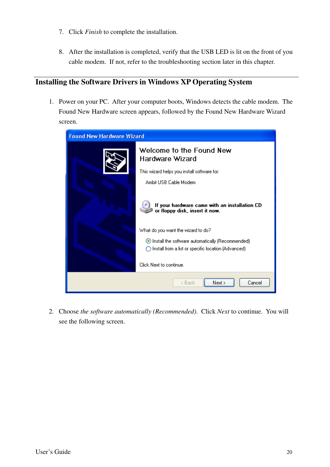- 7. Click *Finish* to complete the installation.
- 8. After the installation is completed, verify that the USB LED is lit on the front of you cable modem. If not, refer to the troubleshooting section later in this chapter.

### **Installing the Software Drivers in Windows XP Operating System**

1. Power on your PC. After your computer boots, Windows detects the cable modem. The Found New Hardware screen appears, followed by the Found New Hardware Wizard screen.



2. Choose *the software automatically (Recommended)*. Click *Next* to continue. You will see the following screen.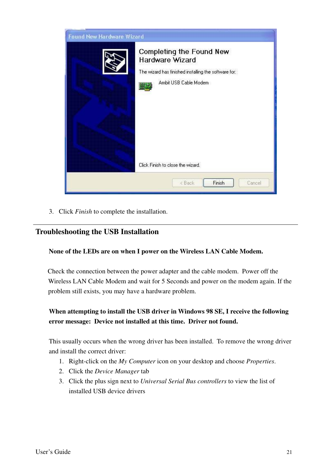| Found New Hardware Wizard |                                                                                                                                     |
|---------------------------|-------------------------------------------------------------------------------------------------------------------------------------|
|                           | Completing the Found New<br><b>Hardware Wizard</b><br>The wizard has finished installing the software for:<br>Ambit USB Cable Modem |
|                           | Click Finish to close the wizard.<br>Finish<br><back<br>Cancel</back<br>                                                            |

3. Click *Finish* to complete the installation.

### **Troubleshooting the USB Installation**

#### **None of the LEDs are on when I power on the Wireless LAN Cable Modem.**

Check the connection between the power adapter and the cable modem. Power off the Wireless LAN Cable Modem and wait for 5 Seconds and power on the modem again. If the problem still exists, you may have a hardware problem.

### **When attempting to install the USB driver in Windows 98 SE, I receive the following error message: Device not installed at this time. Driver not found.**

This usually occurs when the wrong driver has been installed. To remove the wrong driver and install the correct driver:

- 1. Right-click on the *My Computer* icon on your desktop and choose *Properties*.
- 2. Click the *Device Manager* tab
- 3. Click the plus sign next to *Universal Serial Bus controllers* to view the list of installed USB device drivers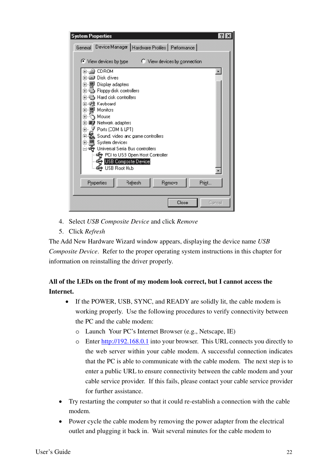

- 4. Select *USB Composite Device* and click *Remove*
- 5. Click *Refresh*

The Add New Hardware Wizard window appears, displaying the device name *USB Composite Device.* Refer to the proper operating system instructions in this chapter for information on reinstalling the driver properly.

### **All of the LEDs on the front of my modem look correct, but I cannot access the Internet.**

- If the POWER, USB, SYNC, and READY are solidly lit, the cable modem is working properly. Use the following procedures to verify connectivity between the PC and the cable modem:
	- o Launch Your PC's Internet Browser (e.g., Netscape, IE)
	- o Enter http://192.168.0.1 into your browser. This URL connects you directly to the web server within your cable modem. A successful connection indicates that the PC is able to communicate with the cable modem. The next step is to enter a public URL to ensure connectivity between the cable modem and your cable service provider. If this fails, please contact your cable service provider for further assistance.
- Try restarting the computer so that it could re-establish a connection with the cable modem.
- Power cycle the cable modem by removing the power adapter from the electrical outlet and plugging it back in. Wait several minutes for the cable modem to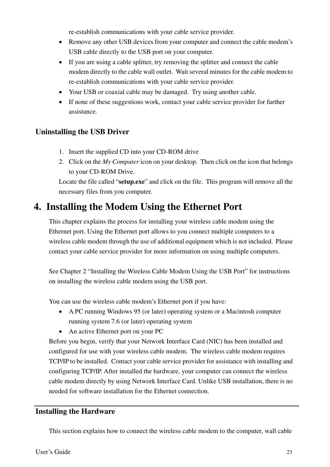re-establish communications with your cable service provider.

- Remove any other USB devices from your computer and connect the cable modem's USB cable directly to the USB port on your computer.
- If you are using a cable splitter, try removing the splitter and connect the cable modem directly to the cable wall outlet. Wait several minutes for the cable modem to re-establish communications with your cable service provider.
- Your USB or coaxial cable may be damaged. Try using another cable.
- If none of these suggestions work, contact your cable service provider for further assistance.

### **Uninstalling the USB Driver**

- 1. Insert the supplied CD into your CD-ROM drive
- 2. Click on the *My Computer* icon on your desktop. Then click on the icon that belongs to your CD-ROM Drive.

Locate the file called "**setup.exe**" and click on the file. This program will remove all the necessary files from you computer.

### **4. Installing the Modem Using the Ethernet Port**

This chapter explains the process for installing your wireless cable modem using the Ethernet port. Using the Ethernet port allows to you connect multiple computers to a wireless cable modem through the use of additional equipment which is not included. Please contact your cable service provider for more information on using multiple computers.

See Chapter 2 "Installing the Wireless Cable Modem Using the USB Port" for instructions on installing the wireless cable modem using the USB port.

You can use the wireless cable modem's Ethernet port if you have:

- A PC running Windows 95 (or later) operating system or a Macintosh computer running system 7.6 (or later) operating system
- An active Ethernet port on your PC

Before you begin, verify that your Network Interface Card (NIC) has been installed and configured for use with your wireless cable modem. The wireless cable modem requires TCP/IP to be installed. Contact your cable service provider for assistance with installing and configuring TCP/IP. After installed the hardware, your computer can connect the wireless cable modem directly by using Network Interface Card. Unlike USB installation, there is no needed for software installation for the Ethernet connection.

### **Installing the Hardware**

This section explains how to connect the wireless cable modem to the computer, wall cable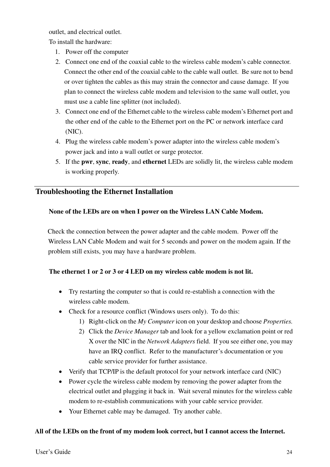outlet, and electrical outlet.

To install the hardware:

- 1. Power off the computer
- 2. Connect one end of the coaxial cable to the wireless cable modem's cable connector. Connect the other end of the coaxial cable to the cable wall outlet. Be sure not to bend or over tighten the cables as this may strain the connector and cause damage. If you plan to connect the wireless cable modem and television to the same wall outlet, you must use a cable line splitter (not included).
- 3. Connect one end of the Ethernet cable to the wireless cable modem's Ethernet port and the other end of the cable to the Ethernet port on the PC or network interface card (NIC).
- 4. Plug the wireless cable modem's power adapter into the wireless cable modem's power jack and into a wall outlet or surge protector.
- 5. If the **pwr**, **sync**, **ready**, and **ethernet** LEDs are solidly lit, the wireless cable modem is working properly.

### **Troubleshooting the Ethernet Installation**

### **None of the LEDs are on when I power on the Wireless LAN Cable Modem.**

Check the connection between the power adapter and the cable modem. Power off the Wireless LAN Cable Modem and wait for 5 seconds and power on the modem again. If the problem still exists, you may have a hardware problem.

### **The ethernet 1 or 2 or 3 or 4 LED on my wireless cable modem is not lit.**

- Try restarting the computer so that is could re-establish a connection with the wireless cable modem.
- Check for a resource conflict (Windows users only). To do this:
	- 1) Right-click on the *My Computer* icon on your desktop and choose *Properties.*
	- 2) Click the *Device Manager* tab and look for a yellow exclamation point or red X over the NIC in the *Network Adapters* field. If you see either one, you may have an IRQ conflict. Refer to the manufacturer's documentation or you cable service provider for further assistance.
- Verify that TCP/IP is the default protocol for your network interface card (NIC)
- Power cycle the wireless cable modem by removing the power adapter from the electrical outlet and plugging it back in. Wait several minutes for the wireless cable modem to re-establish communications with your cable service provider.
- Your Ethernet cable may be damaged. Try another cable.

### **All of the LEDs on the front of my modem look correct, but I cannot access the Internet.**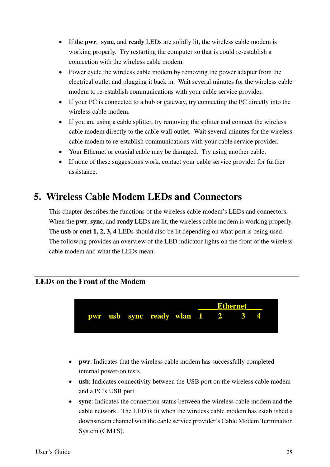- If the **pwr**, **sync**, and **ready** LEDs are solidly lit, the wireless cable modem is working properly. Try restarting the computer so that is could re-establish a connection with the wireless cable modem.
- Power cycle the wireless cable modem by removing the power adapter from the electrical outlet and plugging it back in. Wait several minutes for the wireless cable modem to re-establish communications with your cable service provider.
- If your PC is connected to a hub or gateway, try connecting the PC directly into the wireless cable modem.
- If you are using a cable splitter, try removing the splitter and connect the wireless cable modem directly to the cable wall outlet. Wait several minutes for the wireless cable modem to re-establish communications with your cable service provider.
- Your Ethernet or coaxial cable may be damaged. Try using another cable.
- If none of these suggestions work, contact your cable service provider for further assistance.

### **5. Wireless Cable Modem LEDs and Connectors**

This chapter describes the functions of the wireless cable modem's LEDs and connectors. When the **pwr**, **sync**, and **ready** LEDs are lit, the wireless cable modem is working properly. The **usb** or **enet 1, 2, 3, 4** LEDs should also be lit depending on what port is being used. The following provides an overview of the LED indicator lights on the front of the wireless cable modem and what the LEDs mean.

### **LEDs on the Front of the Modem**



- **pwr**: Indicates that the wireless cable modem has successfully completed internal power-on tests.
- **usb**: Indicates connectivity between the USB port on the wireless cable modem and a PC's USB port.
- **sync**: Indicates the connection status between the wireless cable modem and the cable network. The LED is lit when the wireless cable modem has established a downstream channel with the cable service provider's Cable Modem Termination System (CMTS).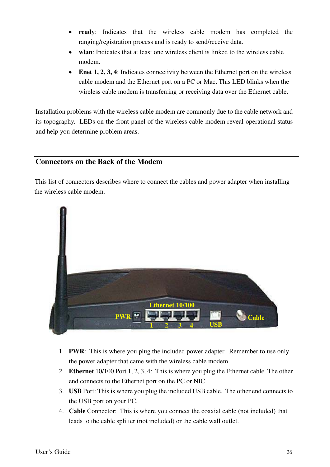- **ready**: Indicates that the wireless cable modem has completed the ranging/registration process and is ready to send/receive data.
- wlan: Indicates that at least one wireless client is linked to the wireless cable modem.
- **Enet 1, 2, 3, 4**: Indicates connectivity between the Ethernet port on the wireless cable modem and the Ethernet port on a PC or Mac. This LED blinks when the wireless cable modem is transferring or receiving data over the Ethernet cable.

Installation problems with the wireless cable modem are commonly due to the cable network and its topography. LEDs on the front panel of the wireless cable modem reveal operational status and help you determine problem areas.

### **Connectors on the Back of the Modem**

This list of connectors describes where to connect the cables and power adapter when installing the wireless cable modem.



- 1. **PWR**: This is where you plug the included power adapter. Remember to use only the power adapter that came with the wireless cable modem.
- 2. **Ethernet** 10/100 Port 1, 2, 3, 4: This is where you plug the Ethernet cable. The other end connects to the Ethernet port on the PC or NIC
- 3. **USB** Port: This is where you plug the included USB cable. The other end connects to the USB port on your PC.
- 4. **Cable** Connector: This is where you connect the coaxial cable (not included) that leads to the cable splitter (not included) or the cable wall outlet.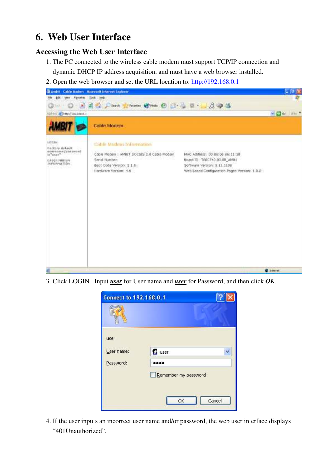### **6. Web User Interface**

### **Accessing the Web User Interface**

- 1. The PC connected to the wireless cable modem must support TCP/IP connection and dynamic DHCP IP address acquisition, and must have a web browser installed.
- 2. Open the web browser and set the URL location to: http://192.168.0.1



3. Click LOGIN. Input *user* for User name and *user* for Password, and then click *OK*.

| <b>Connect to 192.168.0.1</b> |                                      |
|-------------------------------|--------------------------------------|
|                               |                                      |
| user<br>User name:            | <b>R</b> user                        |
| Password:                     |                                      |
|                               | Remember my password<br>Cancel<br>OK |

4. If the user inputs an incorrect user name and/or password, the web user interface displays "401Unauthorized".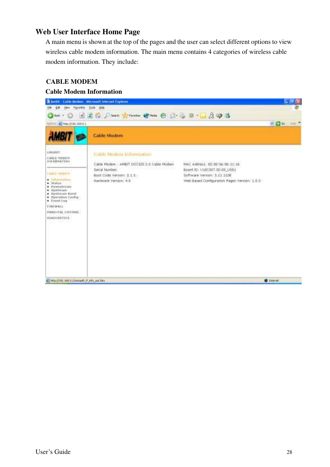### **Web User Interface Home Page**

A main menu is shown at the top of the pages and the user can select different options to view wireless cable modem information. The main menu contains 4 categories of wireless cable modem information. They include:

### **CABLE MODEM**

### **Cable Modem Information**

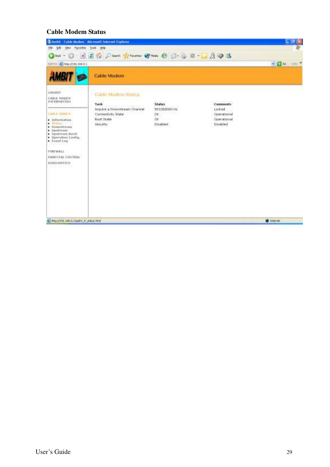### **Cable Modem Status**

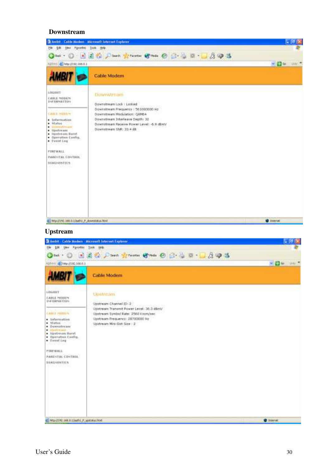#### **Downstream**



#### **Upstream**

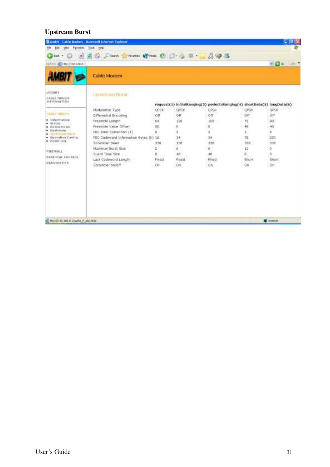### **Upstream Burst**

| <b>Pipece Bosi</b><br>ĐМ<br>He                                                                                                                                                                                                                                                                  | Hole<br>Took-                                                                                                                                                                                                                                                                        |                                                                  | 12.14                                                                    |                                                                                                                                                     |                                                                            |                                                                             |
|-------------------------------------------------------------------------------------------------------------------------------------------------------------------------------------------------------------------------------------------------------------------------------------------------|--------------------------------------------------------------------------------------------------------------------------------------------------------------------------------------------------------------------------------------------------------------------------------------|------------------------------------------------------------------|--------------------------------------------------------------------------|-----------------------------------------------------------------------------------------------------------------------------------------------------|----------------------------------------------------------------------------|-----------------------------------------------------------------------------|
| $\mathbf{x}_1$<br>Back +<br>LD:651.5970; cHi (6) 10101                                                                                                                                                                                                                                          | 2 (a) Seath Cheverke Chester                                                                                                                                                                                                                                                         |                                                                  | 0 -                                                                      | 293                                                                                                                                                 |                                                                            | 半田谷<br>Lives M                                                              |
|                                                                                                                                                                                                                                                                                                 | Cable Modem                                                                                                                                                                                                                                                                          |                                                                  |                                                                          |                                                                                                                                                     |                                                                            |                                                                             |
| <b>LOGGULT</b><br><b>FABLE MODEN</b><br><b><i>LNE OWNER THEN</i></b><br>CABLE HIBLEY<br>· Information<br>· Status<br><b>University manu</b><br>٠<br>Opetream<br>٠<br>٠<br>TRAFFIC TOO RELEASE<br>· Operation Config.<br>· Eventing<br><b>FTREWALL</b><br>PARDITAL CONTROL<br><b>STAGNISTICS</b> | Upstream Burst<br>Modulation Type<br>Differential Encoding.<br>Preamble Length<br>Pre-archie Value Offset<br>FEC Error Correction (T)<br>FEC Codeword Information Eyes (k) 16<br>Strambler Seed<br>Maximum Burst Size<br>Guard Time Size<br>Last Codeword Length<br>Scrambler on/off | OPSK<br>Öff<br>64.<br>56.<br>ü<br>338<br>ř<br>ö<br>Filipo<br>Cm- | OPSK<br>Off<br>139<br>ū<br>s<br>34<br>338<br>ŭ<br>48<br>Filioto d<br>On. | request(1) initialRanging(3) periodicRanging(4) shortData(5) longData(6)<br>OPSK<br>Off<br>129<br>o.<br>5<br>34<br>338<br>a.<br>48<br>Fliega<br>On: | OPSK<br>Off<br>72<br>48<br>5<br>70<br>338<br>12<br>8<br><b>Shart</b><br>On | OPSK<br>Öff<br>80<br>40<br>Ħ<br>220<br>338<br>Ŭ<br>H<br><b>Short</b><br>On: |
| institute, P, DOMES DRESS SREEDER IS                                                                                                                                                                                                                                                            |                                                                                                                                                                                                                                                                                      |                                                                  |                                                                          |                                                                                                                                                     |                                                                            | <b>D</b> Sterler                                                            |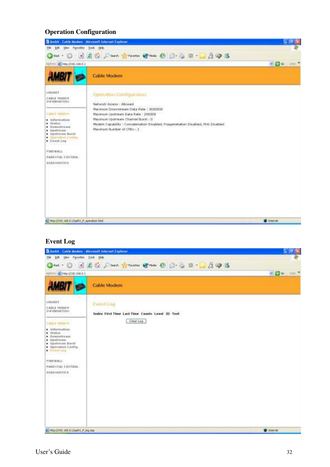### **Operation Configuration**



### **Event Log**

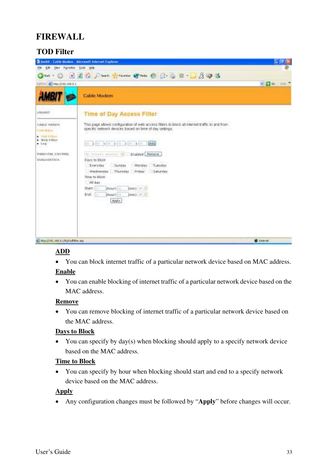### **FIREWALL**

### **TOD Filter**



### **ADD**

• You can block internet traffic of a particular network device based on MAC address.

### **Enable**

• You can enable blocking of internet traffic of a particular network device based on the MAC address.

### **Remove**

• You can remove blocking of internet traffic of a particular network device based on the MAC address.

### **Days to Block**

• You can specify by day(s) when blocking should apply to a specify network device based on the MAC address.

### **Time to Block**

• You can specify by hour when blocking should start and end to a specify network device based on the MAC address.

### **Apply**

• Any configuration changes must be followed by "**Apply**" before changes will occur.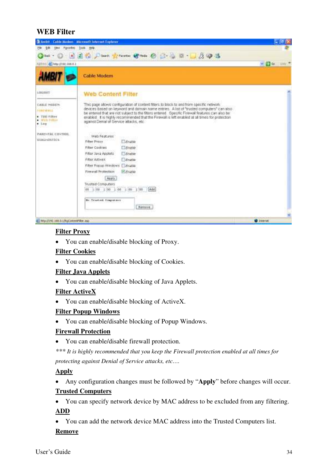### **WEB Filter**



### **Filter Proxy**

• You can enable/disable blocking of Proxy.

### **Filter Cookies**

• You can enable/disable blocking of Cookies.

#### **Filter Java Applets**

• You can enable/disable blocking of Java Applets.

### **Filter ActiveX**

• You can enable/disable blocking of ActiveX.

#### **Filter Popup Windows**

• You can enable/disable blocking of Popup Windows.

### **Firewall Protection**

• You can enable/disable firewall protection.

*\*\*\* It is highly recommended that you keep the Firewall protection enabled at all times for protecting against Denial of Service attacks, etc….* 

### **Apply**

• Any configuration changes must be followed by "**Apply**" before changes will occur. **Trusted Computers**

• You can specify network device by MAC address to be excluded from any filtering. **ADD**

• You can add the network device MAC address into the Trusted Computers list. **Remove**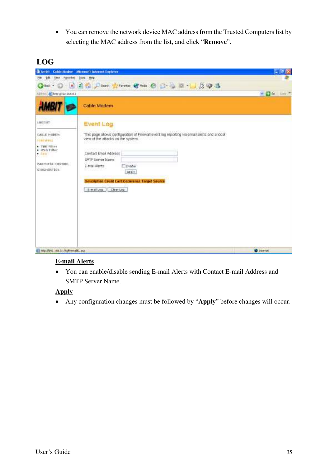• You can remove the network device MAC address from the Trusted Computers list by selecting the MAC address from the list, and click "**Remove**".

### **LOG**



### **E-mail Alerts**

• You can enable/disable sending E-mail Alerts with Contact E-mail Address and SMTP Server Name.

### **Apply**

• Any configuration changes must be followed by "**Apply**" before changes will occur.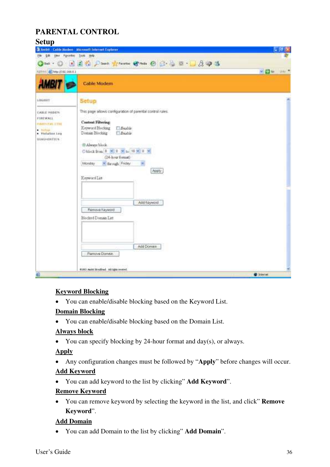### **PARENTAL CONTROL**

### **Setup**

|                                                                                                                                       | tel · ① 国国伯 Darch greenen @ man @ B. 总日 · D.B. @ 选                                                                                                                                                                                                                                                                                                                        |             |
|---------------------------------------------------------------------------------------------------------------------------------------|---------------------------------------------------------------------------------------------------------------------------------------------------------------------------------------------------------------------------------------------------------------------------------------------------------------------------------------------------------------------------|-------------|
| Alabert 2010 (1992-1983)                                                                                                              |                                                                                                                                                                                                                                                                                                                                                                           | $= 26$ $m1$ |
| <b>AMBIT</b>                                                                                                                          | <b>Cable Modem</b>                                                                                                                                                                                                                                                                                                                                                        |             |
| LOGGUIT<br><b>CABLE PHIDER</b><br>FIREWALL<br><b>FAIRFIELD THE</b><br>$\bullet$ . Surfinal.<br>· Victorians Log<br><b>BLAGHINTIER</b> | Setup<br>This page allows configuration of parental control rules.<br><b>Cuntrat Filtering:</b><br>Keyword Blocking<br>Boable.<br>Domain Blocking<br><b>Ednoble</b><br>B Alwayr block<br>Objeck from B 2 3 3 10 18 3 0 1<br>(24-hour format)<br>Monday<br>* through Friday<br>Apply<br>Keyword List<br>Add Feyword<br>Renove Keyword<br>Blocked Domain Litt<br>Add Domain |             |
|                                                                                                                                       | Furnitive Domain<br>6100 Auto Rockhad, All Mannoovel,                                                                                                                                                                                                                                                                                                                     |             |

### **Keyword Blocking**

• You can enable/disable blocking based on the Keyword List.

### **Domain Blocking**

• You can enable/disable blocking based on the Domain List.

### **Always block**

• You can specify blocking by 24-hour format and day(s), or always.

### **Apply**

• Any configuration changes must be followed by "**Apply**" before changes will occur.

### **Add Keyword**

• You can add keyword to the list by clicking" **Add Keyword**".

### **Remove Keyword**

• You can remove keyword by selecting the keyword in the list, and click" **Remove Keyword**".

### **Add Domain**

• You can add Domain to the list by clicking" **Add Domain**".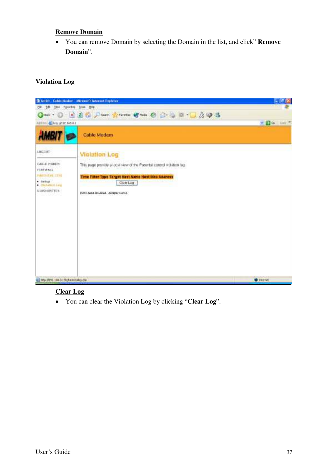#### **Remove Domain**

• You can remove Domain by selecting the Domain in the list, and click" **Remove Domain**".

### **Violation Log**



### **Clear Log**

• You can clear the Violation Log by clicking "**Clear Log**".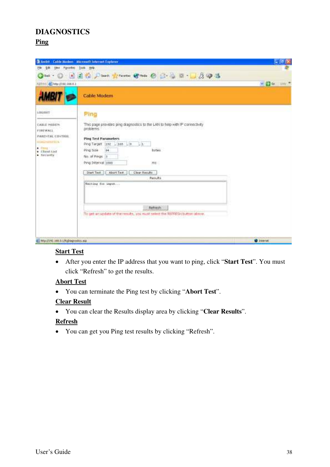### **DIAGNOSTICS**

### **Ping**

|                                                                                                                                                      | 2 Ambit - Cable Barben - Microsoft Internet Explaner                                                                                                                                                                                                                                                                                                                                                                                                        | ш               |
|------------------------------------------------------------------------------------------------------------------------------------------------------|-------------------------------------------------------------------------------------------------------------------------------------------------------------------------------------------------------------------------------------------------------------------------------------------------------------------------------------------------------------------------------------------------------------------------------------------------------------|-----------------|
| Your Parcellos Dook Hole<br>ÐМ                                                                                                                       |                                                                                                                                                                                                                                                                                                                                                                                                                                                             |                 |
| Alahood (@) http://D92.168.0.1                                                                                                                       | tet · ① 国国有 Disent greenen @ main @ 已 心 日 · □ 反 甲 选                                                                                                                                                                                                                                                                                                                                                                                                         | $= 26$ Me       |
|                                                                                                                                                      | Cable Modem                                                                                                                                                                                                                                                                                                                                                                                                                                                 |                 |
| LOGUILT<br>.<br><b>CABLE PHIDER</b><br>FIREWALL<br><b><i>PARENTAL CONTROL</i></b><br><b>SILBAN-MAY FELS</b><br>Ding they<br>* Shentist<br>· Secontly | Ping<br>This page provides ping diagnostics to the LAN to help with IP connectivity<br>problems.<br><b>Ping Test Parameters</b><br>Ping Target (192 - 168 L D. L L<br>Ping Size<br>64<br><b>bytus</b><br>No. of Pings 3<br>Ping Toternal (1600)<br>用图<br>Abort Test<br>Clear Results<br>Start Test<br>Results<br>Maiting fis ingest<br>[ 아이들은 아이들은 아이들은 아이들은 아이들<br>Refresh -<br>To get an update of the results, you must select the REPPEGH button above. |                 |
| ALL MEGALINE 168.0.1/Validageostes asp                                                                                                               |                                                                                                                                                                                                                                                                                                                                                                                                                                                             | <b>D</b> Steret |

### **Start Test**

• After you enter the IP address that you want to ping, click "**Start Test**". You must click "Refresh" to get the results.

### **Abort Test**

• You can terminate the Ping test by clicking "**Abort Test**".

### **Clear Result**

• You can clear the Results display area by clicking "**Clear Results**".

#### **Refresh**

• You can get you Ping test results by clicking "Refresh".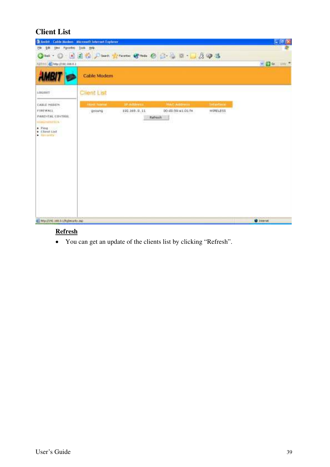### **Client List**

| <b>B Andri</b> - Cable Barben - Microsoft Internet Explaner                                               |                    |              |                                                                                                                                                                                                                                |          | $-161$ $\times$     |
|-----------------------------------------------------------------------------------------------------------|--------------------|--------------|--------------------------------------------------------------------------------------------------------------------------------------------------------------------------------------------------------------------------------|----------|---------------------|
| time Finered Tools Hole<br>ык<br>Нe<br>$Q$ but $\cdot$ $\circlearrowright$<br>Alahom (@) He (YDR: 168.0.1 |                    |              | ■国务户Sech Schements (Streets ) B: → 日·□及甲基                                                                                                                                                                                      |          | $v = 6$ and $v = 7$ |
|                                                                                                           | <b>Cable Modem</b> |              |                                                                                                                                                                                                                                |          |                     |
| LOGGUIT                                                                                                   | Client List        |              |                                                                                                                                                                                                                                |          |                     |
| <b>CABLE PHIDER</b>                                                                                       |                    |              | This come to a subsequent to the contract of the contract of the contract of the contract of the contract of the contract of the contract of the contract of the contract of the contract of the contract of the contract of t |          |                     |
| <b>FIREWALL</b><br>PARENTAL CINTRIIL<br><b>BELOVANS FELLIN</b><br>. Ping<br>· Llient List<br>A REFERENCE  | gycung             | 192.169.0.11 | 00:00:59:01:01:f4<br>Rafrish                                                                                                                                                                                                   | WIRELESS |                     |
| ALL MISCUSS LIKE B. LAUSING MY AND                                                                        |                    |              |                                                                                                                                                                                                                                |          | <b>D</b> Steret     |

### **Refresh**

• You can get an update of the clients list by clicking "Refresh".